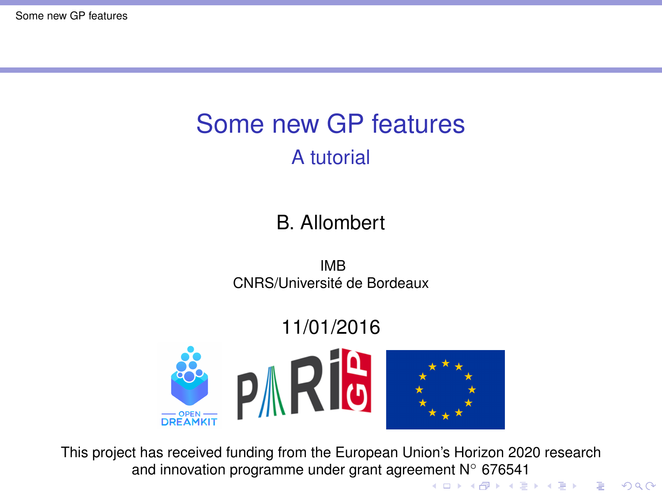# <span id="page-0-0"></span>Some new GP features A tutorial

#### B. Allombert

IMB CNRS/Université de Bordeaux

#### 11/01/2016



This project has received funding from the European Union's Horizon 2020 research and innovation programme under grant agree[me](#page-0-0)n[t N](#page-1-0)◦ [67](#page-0-0)[6](#page-1-0)[54](#page-0-0)[1](#page-19-0)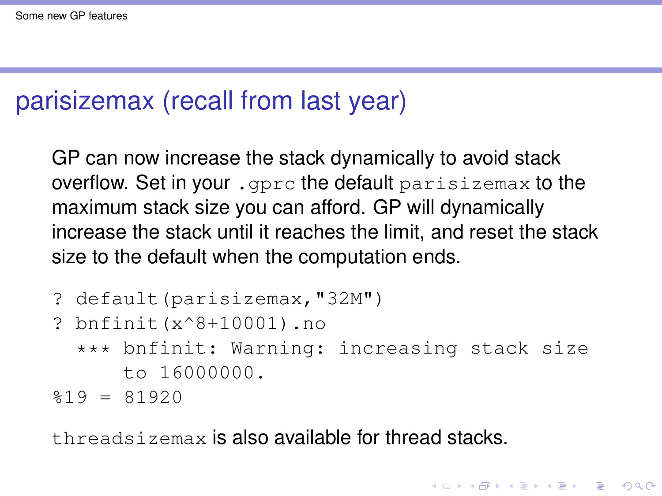## <span id="page-1-0"></span>parisizemax (recall from last year)

GP can now increase the stack dynamically to avoid stack overflow. Set in your .gprc the default parisizemax to the maximum stack size you can afford. GP will dynamically increase the stack until it reaches the limit, and reset the stack size to the default when the computation ends.

```
? default(parisizemax,"32M")
? bnfinit(x^8+10001).no
  *** bnfinit: Warning: increasing stack size
      to 16000000.
$19 = 81920
```
threadsizemax is also available for thread stacks.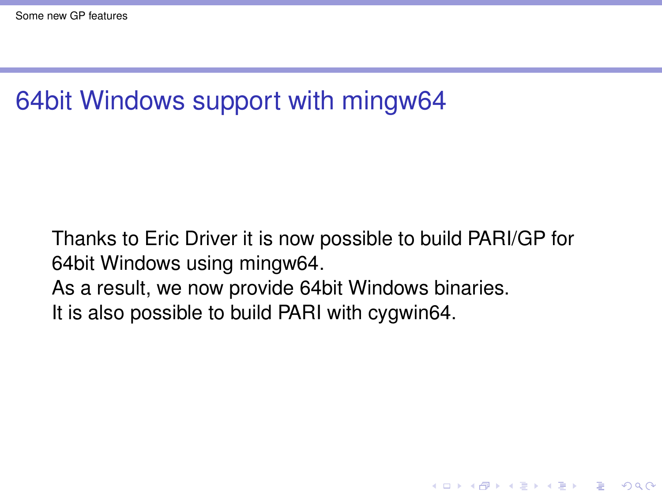# 64bit Windows support with mingw64

Thanks to Eric Driver it is now possible to build PARI/GP for 64bit Windows using mingw64. As a result, we now provide 64bit Windows binaries.

K ロ ▶ K @ ▶ K 할 ▶ K 할 ▶ | 할 | K 9 Q Q

It is also possible to build PARI with cygwin64.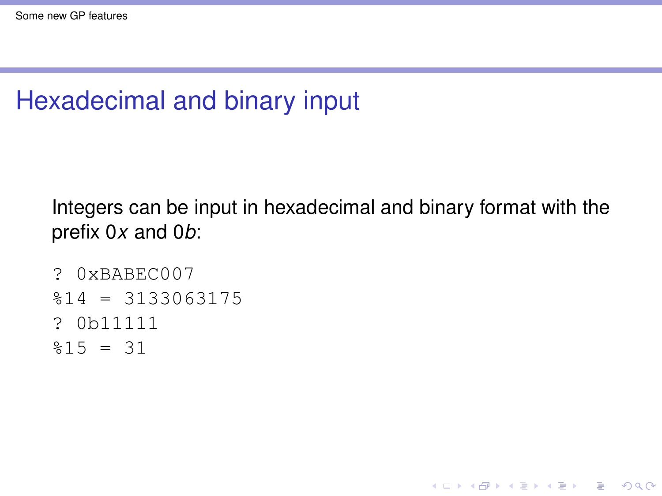# Hexadecimal and binary input

Integers can be input in hexadecimal and binary format with the prefix 0*x* and 0*b*:

**KORK STRAIN A STRAIN A STRAIN** 

```
? 0xBABEC007
$14 = 3133063175? 0b11111
$15 = 31
```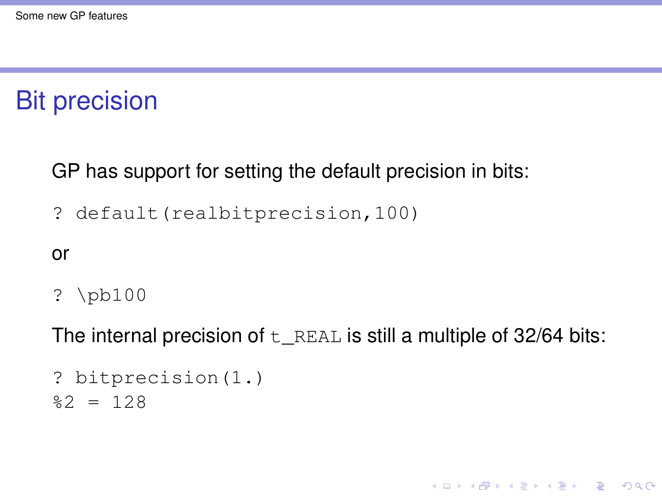### Bit precision

GP has support for setting the default precision in bits:

? default(realbitprecision,100)

or

? \pb100

The internal precision of  $t$  REAL is still a multiple of 32/64 bits:

**KORKARA KERKER DAGA** 

```
? bitprecision(1.)
2 = 128
```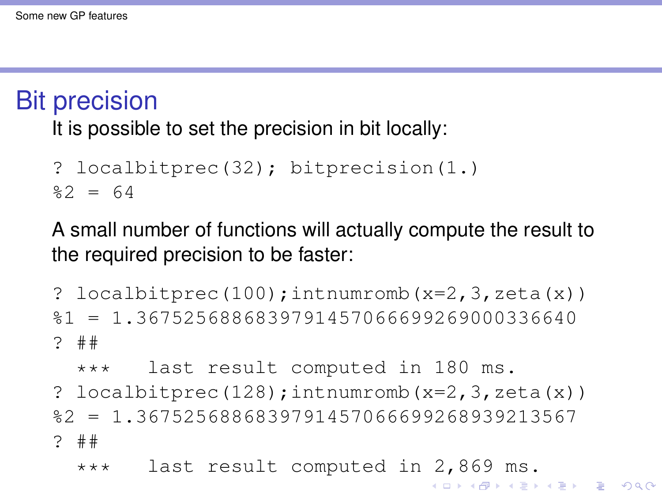#### Bit precision

It is possible to set the precision in bit locally:

```
? localbitprec(32); bitprecision(1.)
%2 = 64
```
A small number of functions will actually compute the result to the required precision to be faster:

? localbitprec $(100)$ ; intnumromb $(x=2,3,zeta(x))$ %1 = 1.3675256886839791457066699269000336640 ? ##

\*\*\* last result computed in 180 ms. ? localbitprec $(128)$ ; intnumromb $(x=2,3,zeta(x))$ %2 = 1.3675256886839791457066699268939213567 ? ##

\*\*\* last result computed in 2,869 ms.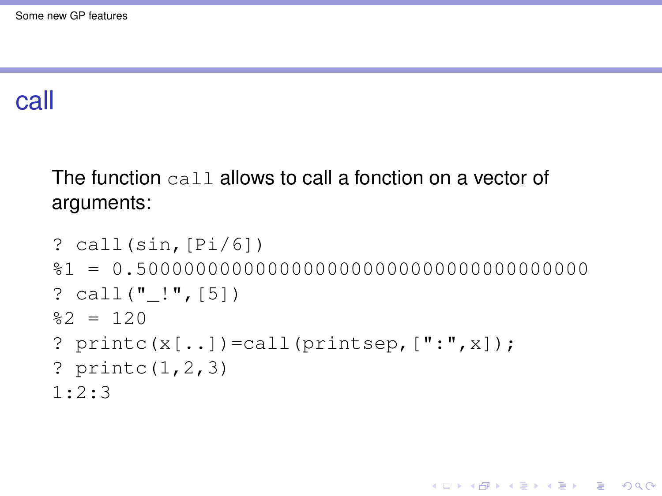#### call

The function call allows to call a fonction on a vector of arguments:

```
? call(sin,[Pi/6])
%1 = 0.50000000000000000000000000000000000000
? call(" ! ", [5])
22 = 120? \text{print}(x[, . . .] = \text{call}(\text{printsep}, [". , x]);
? printc(1,2,3)
1:2:3
```
**KORK STRAIN A STRAIN A STRAIN**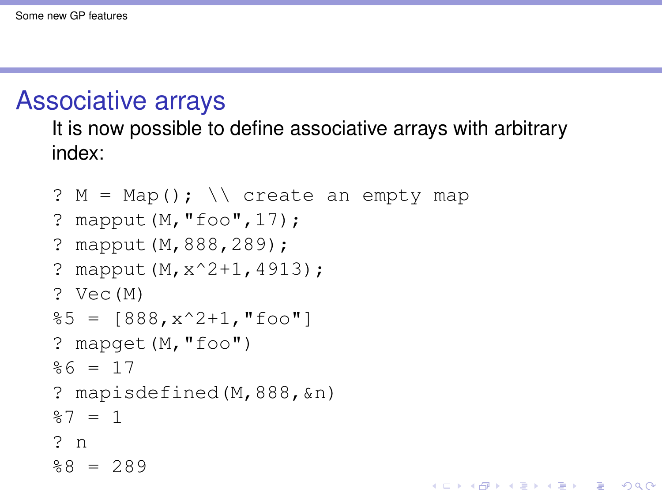#### Associative arrays

It is now possible to define associative arrays with arbitrary index:

**KOD KARD KED KED BE YOUR** 

```
? M = Map(); \setminus create an empty map
? mapput(M,"foo",17);
? mapput(M,888,289);
? mapput(M,x^2+1,4913);
? Vec(M)
\$5 = [888, x^2+1, "foo"]? mapget(M,"foo")
%6 = 17? mapisdefined(M,888,&n)
%7 = 1? n
88 = 289
```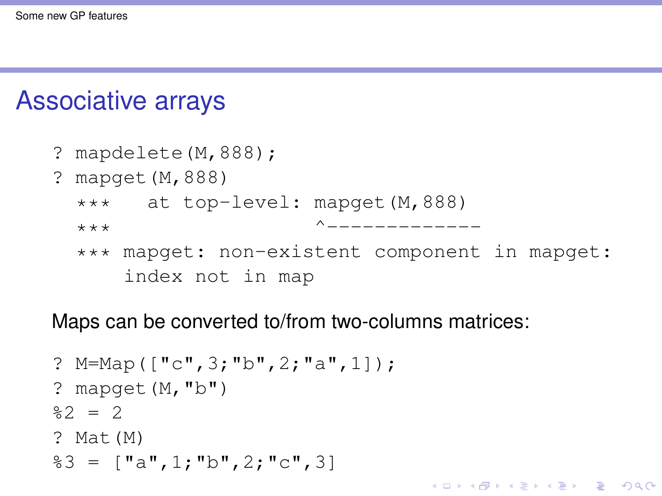### Associative arrays

```
? mapdelete(M,888);
? mapget(M,888)
 *** at top-level: mapget(M,888)
 *** ^-------------
 *** mapget: non-existent component in mapget:
     index not in map
```
**KORK ERKER ADAM ADA** 

Maps can be converted to/from two-columns matrices:

```
? M=Map(["c",3;"b",2;"a",1]);
? mapget(M, "b")22 = 2? Mat(M)
83 = ["a", 1; "b", 2; "c", 3]
```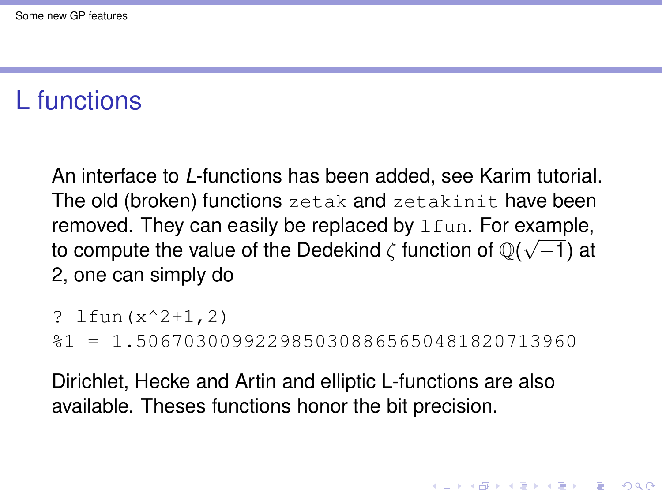# L functions

An interface to *L*-functions has been added, see Karim tutorial. The old (broken) functions zetak and zetakinit have been removed. They can easily be replaced by 1fun. For example, to compute the value of the Dedekind  $\zeta$  function of  $\mathbb{Q}(\sqrt{-1})$  at 2, one can simply do

```
? lfun(x^2+1,2)
```
%1 = 1.5067030099229850308865650481820713960

Dirichlet, Hecke and Artin and elliptic L-functions are also available. Theses functions honor the bit precision.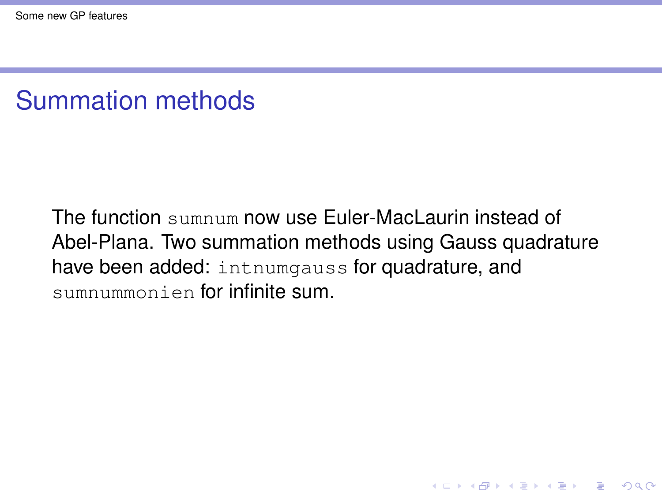# Summation methods

The function sumnum now use Euler-MacLaurin instead of Abel-Plana. Two summation methods using Gauss quadrature have been added: intnumgauss for quadrature, and sumnummonien for infinite sum.

K ロ ▶ K @ ▶ K 할 ▶ K 할 ▶ | 할 | K 9 Q Q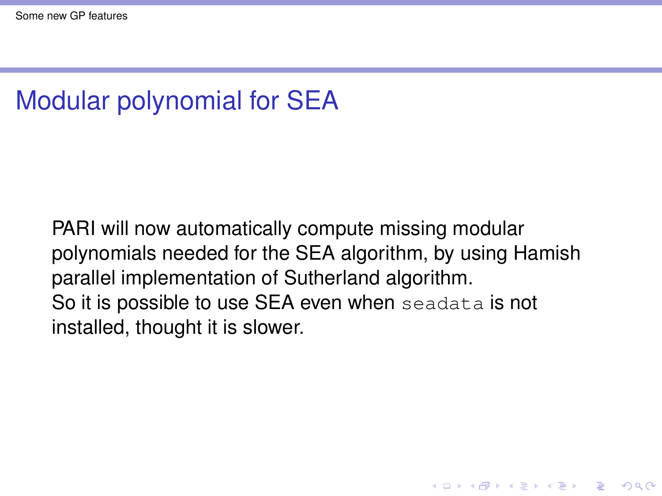# Modular polynomial for SEA

PARI will now automatically compute missing modular polynomials needed for the SEA algorithm, by using Hamish parallel implementation of Sutherland algorithm. So it is possible to use SEA even when seadata is not installed, thought it is slower.

**KORK ERKER ADAM ADA**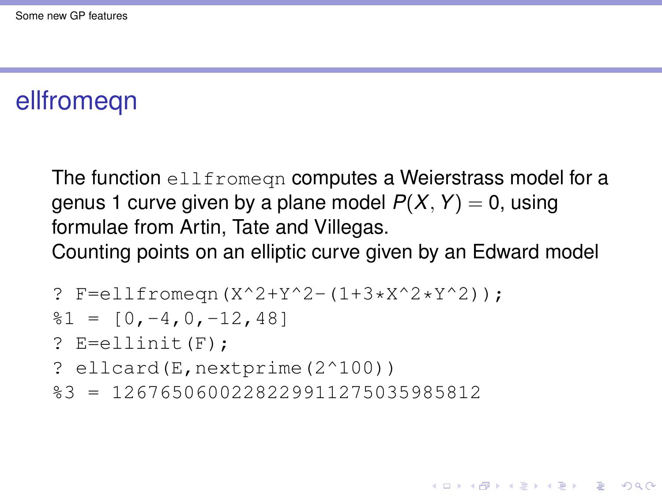# ellfromeqn

The function ellfromegn computes a Weierstrass model for a genus 1 curve given by a plane model  $P(X, Y) = 0$ , using formulae from Artin, Tate and Villegas. Counting points on an elliptic curve given by an Edward model

**KOD KARD KED KED BE YOUR** 

? F=ellfromeqn(X^2+Y^2-(1+3\*X^2\*Y^2));

$$
81 = [0, -4, 0, -12, 48]
$$

 $?$  E=ellinit  $(F)$ :

- ? ellcard(E,nextprime(2^100))
- %3 = 1267650600228229911275035985812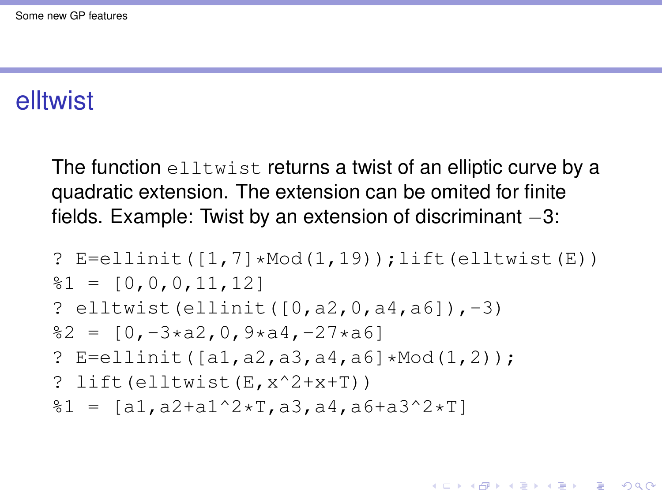#### elltwist

The function elltwist returns a twist of an elliptic curve by a quadratic extension. The extension can be omited for finite fields. Example: Twist by an extension of discriminant –3:

?  $E=$ ellinit( $[1,7]$ \*Mod $(1,19)$ );lift(elltwist(E))  $\$1 = [0, 0, 0, 11, 12]$ ? elltwist(ellinit([0,a2,0,a4,a6]),-3)  $82 = [0,-3*aa2,0,9*aa4,-27*ab]$ ? E=ellinit([a1,a2,a3,a4,a6]\*Mod(1,2)); ? lift(elltwist(E,x^2+x+T))  $\$1 = [a1, a2+a1^2*T, a3, a4, a6+a3^2*T]$ 

**KOD KARD KED KED BE YOUR**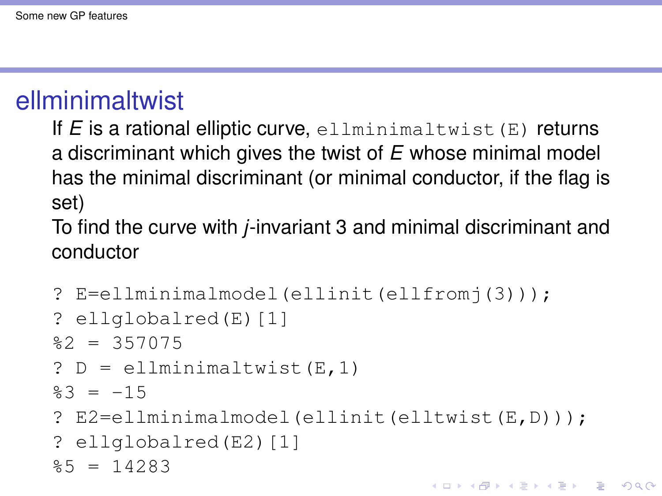# ellminimaltwist

If *E* is a rational elliptic curve, ellminimaltwist(E) returns a discriminant which gives the twist of *E* whose minimal model has the minimal discriminant (or minimal conductor, if the flag is set)

To find the curve with *j*-invariant 3 and minimal discriminant and conductor

```
? E=ellminimalmodel(ellinit(ellfromj(3)));
? ellglobalred(E)[1]
82 = 357075? D = ellminimaltwist(E,1)\frac{1}{2}3 = -15? E2=ellminimalmodel(ellinit(elltwist(E,D)));
? ellglobalred(E2)[1]
85 = 14283KORK ERKER ADAM ADA
```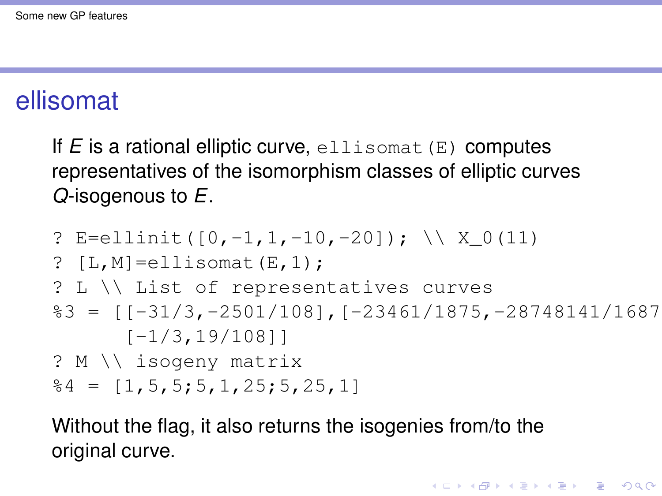## ellisomat

If  $E$  is a rational elliptic curve, ellisomat  $(E)$  computes representatives of the isomorphism classes of elliptic curves *Q*-isogenous to *E*.

? E=ellinit([0,-1,1,-10,-20]); \\ X\_0(11) ? [L,M]=ellisomat(E,1); ? L \\ List of representatives curves %3 = [[-31/3,-2501/108],[-23461/1875,-28748141/1687500], [-1/3,19/108]] ? M \\ isogeny matrix %4 = [1,5,5;5,1,25;5,25,1]

Without the flag, it also returns the isogenies from/to the original curve.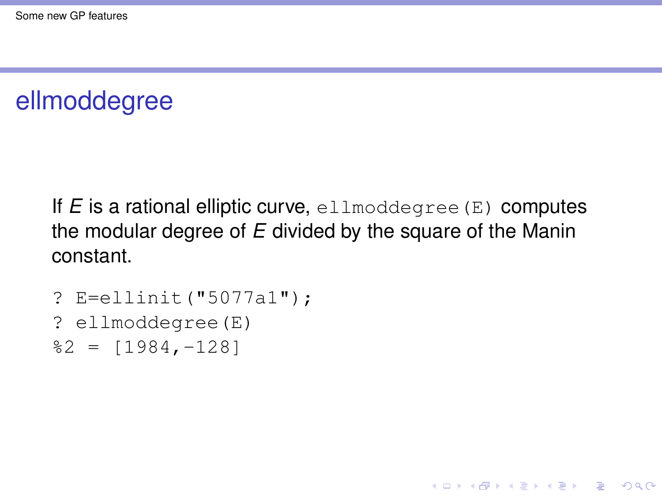## ellmoddegree

If  $E$  is a rational elliptic curve, ellmoddegree  $(E)$  computes the modular degree of *E* divided by the square of the Manin constant.

**KORKARA KERKER DAGA** 

```
? E=ellinit("5077a1");
? ellmoddegree(E)
2 = [1984, -128]
```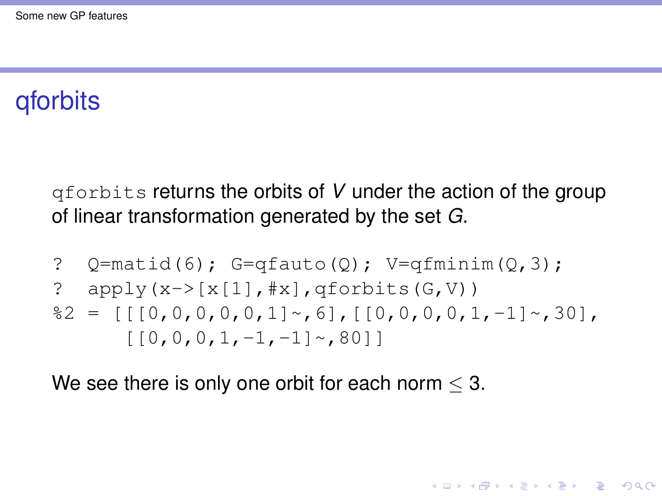# qforbits

qforbits returns the orbits of *V* under the action of the group of linear transformation generated by the set *G*.

? Q=matid(6); G=qfauto(Q); V=qfminim(Q,3); ? apply(x->[x[1],#x],qforbits(G,V)) %2 = [[[0,0,0,0,0,1]~,6],[[0,0,0,0,1,-1]~,30], [[0,0,0,1,-1,-1]~,80]]

**KORK STRAIN A STRAIN A STRAIN** 

We see there is only one orbit for each norm  $\leq$  3.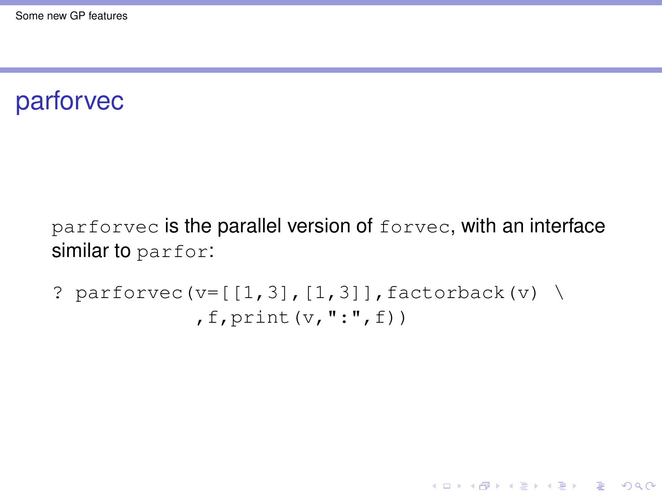## parforvec

parforvec is the parallel version of forvec, with an interface similar to parfor:

K ロ ▶ K @ ▶ K 할 ▶ K 할 ▶ 이 할 → 9 Q Q\*

? parforce(v=[
$$
[1,3]
$$
,  $[1,3]$ ], factorback(v)   
, f, print(v, ":", f))